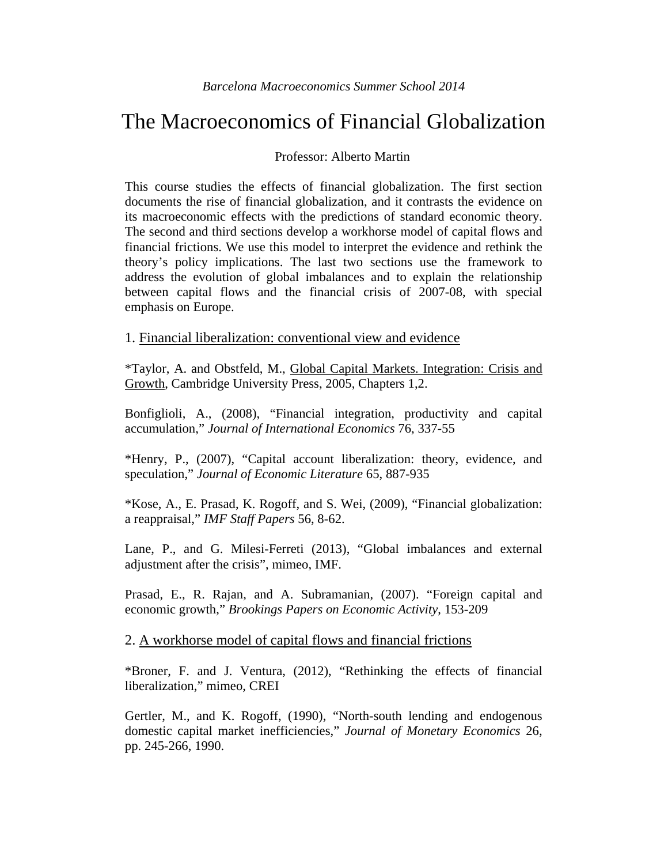# The Macroeconomics of Financial Globalization

#### Professor: Alberto Martin

This course studies the effects of financial globalization. The first section documents the rise of financial globalization, and it contrasts the evidence on its macroeconomic effects with the predictions of standard economic theory. The second and third sections develop a workhorse model of capital flows and financial frictions. We use this model to interpret the evidence and rethink the theory's policy implications. The last two sections use the framework to address the evolution of global imbalances and to explain the relationship between capital flows and the financial crisis of 2007-08, with special emphasis on Europe.

1. Financial liberalization: conventional view and evidence

\*Taylor, A. and Obstfeld, M., Global Capital Markets. Integration: Crisis and Growth, Cambridge University Press, 2005, Chapters 1,2.

Bonfiglioli, A., (2008), "Financial integration, productivity and capital accumulation," *Journal of International Economics* 76, 337-55

\*Henry, P., (2007), "Capital account liberalization: theory, evidence, and speculation," *Journal of Economic Literature* 65, 887-935

\*Kose, A., E. Prasad, K. Rogoff, and S. Wei, (2009), "Financial globalization: a reappraisal," *IMF Staff Papers* 56, 8-62.

Lane, P., and G. Milesi-Ferreti (2013), "Global imbalances and external adjustment after the crisis", mimeo, IMF.

Prasad, E., R. Rajan, and A. Subramanian, (2007). "Foreign capital and economic growth," *Brookings Papers on Economic Activity*, 153-209

#### 2. A workhorse model of capital flows and financial frictions

\*Broner, F. and J. Ventura, (2012), "Rethinking the effects of financial liberalization," mimeo, CREI

Gertler, M., and K. Rogoff, (1990), "North-south lending and endogenous domestic capital market inefficiencies," *Journal of Monetary Economics* 26, pp. 245-266, 1990.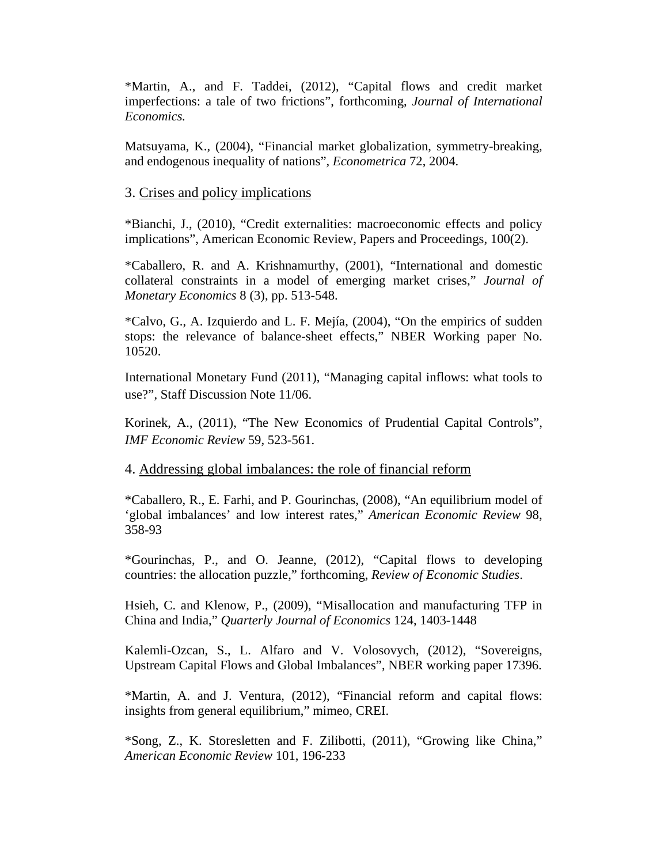\*Martin, A., and F. Taddei, (2012), "Capital flows and credit market imperfections: a tale of two frictions", forthcoming, *Journal of International Economics.* 

Matsuyama, K., (2004), "Financial market globalization, symmetry-breaking, and endogenous inequality of nations", *Econometrica* 72, 2004.

### 3. Crises and policy implications

\*Bianchi, J., (2010), "Credit externalities: macroeconomic effects and policy implications", American Economic Review, Papers and Proceedings, 100(2).

\*Caballero, R. and A. Krishnamurthy, (2001), "International and domestic collateral constraints in a model of emerging market crises," *Journal of Monetary Economics* 8 (3), pp. 513-548.

\*Calvo, G., A. Izquierdo and L. F. Mejía, (2004), "On the empirics of sudden stops: the relevance of balance-sheet effects," NBER Working paper No. 10520.

International Monetary Fund (2011), "Managing capital inflows: what tools to use?", Staff Discussion Note 11/06.

Korinek, A., (2011), "The New Economics of Prudential Capital Controls", *IMF Economic Review* 59, 523-561.

#### 4. Addressing global imbalances: the role of financial reform

\*Caballero, R., E. Farhi, and P. Gourinchas, (2008), "An equilibrium model of 'global imbalances' and low interest rates," *American Economic Review* 98, 358-93

\*Gourinchas, P., and O. Jeanne, (2012), "Capital flows to developing countries: the allocation puzzle," forthcoming, *Review of Economic Studies*.

Hsieh, C. and Klenow, P., (2009), "Misallocation and manufacturing TFP in China and India," *Quarterly Journal of Economics* 124, 1403-1448

Kalemli-Ozcan, S., L. Alfaro and V. Volosovych, (2012), "Sovereigns, Upstream Capital Flows and Global Imbalances", NBER working paper 17396.

\*Martin, A. and J. Ventura, (2012), "Financial reform and capital flows: insights from general equilibrium," mimeo, CREI.

\*Song, Z., K. Storesletten and F. Zilibotti, (2011), "Growing like China," *American Economic Review* 101, 196-233